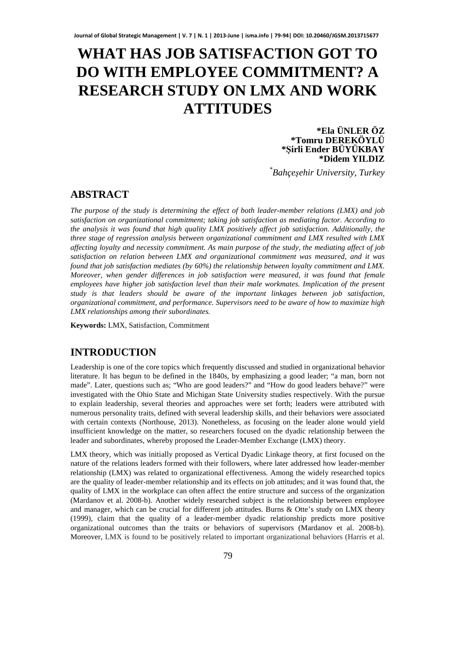# **WHAT HAS JOB SATISFACTION GOT TO DO WITH EMPLOYEE COMMITMENT? A RESEARCH STUDY ON LMX AND WORK ATTITUDES**

#### **\*Ela ÜNLER ÖZ \*Tomru DEREKÖYLÜ \*Şirli Ender BÜYÜKBAY \*Didem YILDIZ**

*\* Bahçeşehir University, Turkey*

# **ABSTRACT**

*The purpose of the study is determining the effect of both leader-member relations (LMX) and job satisfaction on organizational commitment; taking job satisfaction as mediating factor. According to the analysis it was found that high quality LMX positively affect job satisfaction. Additionally, the three stage of regression analysis between organizational commitment and LMX resulted with LMX affecting loyalty and necessity commitment. As main purpose of the study, the mediating affect of job satisfaction on relation between LMX and organizational commitment was measured, and it was found that job satisfaction mediates (by 60%) the relationship between loyalty commitment and LMX. Moreover, when gender differences in job satisfaction were measured, it was found that female employees have higher job satisfaction level than their male workmates. Implication of the present study is that leaders should be aware of the important linkages between job satisfaction, organizational commitment, and performance. Supervisors need to be aware of how to maximize high LMX relationships among their subordinates.* 

**Keywords:** LMX, Satisfaction, Commitment

## **INTRODUCTION**

Leadership is one of the core topics which frequently discussed and studied in organizational behavior literature. It has begun to be defined in the 1840s, by emphasizing a good leader; "a man, born not made". Later, questions such as; "Who are good leaders?" and "How do good leaders behave?" were investigated with the Ohio State and Michigan State University studies respectively. With the pursue to explain leadership, several theories and approaches were set forth; leaders were attributed with numerous personality traits, defined with several leadership skills, and their behaviors were associated with certain contexts (Northouse, 2013). Nonetheless, as focusing on the leader alone would yield insufficient knowledge on the matter, so researchers focused on the dyadic relationship between the leader and subordinates, whereby proposed the Leader-Member Exchange (LMX) theory.

LMX theory, which was initially proposed as Vertical Dyadic Linkage theory, at first focused on the nature of the relations leaders formed with their followers, where later addressed how leader-member relationship (LMX) was related to organizational effectiveness. Among the widely researched topics are the quality of leader-member relationship and its effects on job attitudes; and it was found that, the quality of LMX in the workplace can often affect the entire structure and success of the organization (Mardanov et al. 2008-b). Another widely researched subject is the relationship between employee and manager, which can be crucial for different job attitudes. Burns & Otte's study on LMX theory (1999), claim that the quality of a leader-member dyadic relationship predicts more positive organizational outcomes than the traits or behaviors of supervisors (Mardanov et al. 2008-b). Moreover, LMX is found to be positively related to important organizational behaviors (Harris et al.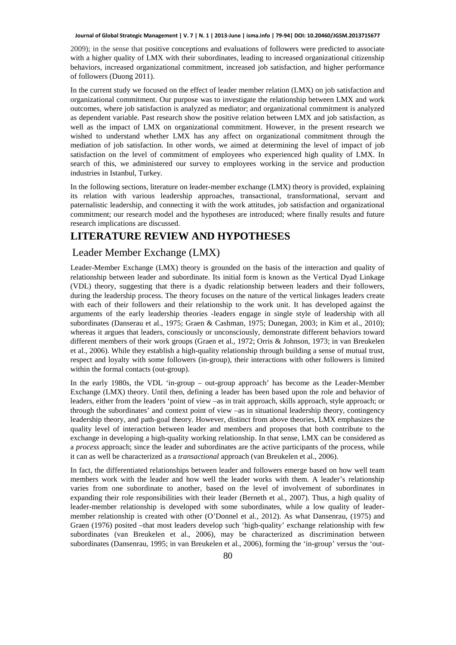2009); in the sense that positive conceptions and evaluations of followers were predicted to associate with a higher quality of LMX with their subordinates, leading to increased organizational citizenship behaviors, increased organizational commitment, increased job satisfaction, and higher performance of followers (Duong 2011).

In the current study we focused on the effect of leader member relation (LMX) on job satisfaction and organizational commitment. Our purpose was to investigate the relationship between LMX and work outcomes, where job satisfaction is analyzed as mediator; and organizational commitment is analyzed as dependent variable. Past research show the positive relation between LMX and job satisfaction, as well as the impact of LMX on organizational commitment. However, in the present research we wished to understand whether LMX has any affect on organizational commitment through the mediation of job satisfaction. In other words, we aimed at determining the level of impact of job satisfaction on the level of commitment of employees who experienced high quality of LMX. In search of this, we administered our survey to employees working in the service and production industries in Istanbul, Turkey.

In the following sections, literature on leader-member exchange (LMX) theory is provided, explaining its relation with various leadership approaches, transactional, transformational, servant and paternalistic leadership, and connecting it with the work attitudes, job satisfaction and organizational commitment; our research model and the hypotheses are introduced; where finally results and future research implications are discussed.

# **LITERATURE REVIEW AND HYPOTHESES**

### Leader Member Exchange (LMX)

Leader-Member Exchange (LMX) theory is grounded on the basis of the interaction and quality of relationship between leader and subordinate. Its initial form is known as the Vertical Dyad Linkage (VDL) theory, suggesting that there is a dyadic relationship between leaders and their followers, during the leadership process. The theory focuses on the nature of the vertical linkages leaders create with each of their followers and their relationship to the work unit. It has developed against the arguments of the early leadership theories -leaders engage in single style of leadership with all subordinates (Danserau et al., 1975; Graen & Cashman, 1975; Dunegan, 2003; in Kim et al., 2010); whereas it argues that leaders, consciously or unconsciously, demonstrate different behaviors toward different members of their work groups (Graen et al., 1972; Orris & Johnson, 1973; in van Breukelen et al., 2006). While they establish a high-quality relationship through building a sense of mutual trust, respect and loyalty with some followers (in-group), their interactions with other followers is limited within the formal contacts (out-group).

In the early 1980s, the VDL 'in-group – out-group approach' has become as the Leader-Member Exchange (LMX) theory. Until then, defining a leader has been based upon the role and behavior of leaders, either from the leaders 'point of view –as in trait approach, skills approach, style approach; or through the subordinates' and context point of view –as in situational leadership theory, contingency leadership theory, and path-goal theory. However, distinct from above theories, LMX emphasizes the quality level of interaction between leader and members and proposes that both contribute to the exchange in developing a high-quality working relationship. In that sense, LMX can be considered as a *process* approach; since the leader and subordinates are the active participants of the process, while it can as well be characterized as a *transactional* approach (van Breukelen et al., 2006).

In fact, the differentiated relationships between leader and followers emerge based on how well team members work with the leader and how well the leader works with them. A leader's relationship varies from one subordinate to another, based on the level of involvement of subordinates in expanding their role responsibilities with their leader (Berneth et al., 2007). Thus, a high quality of leader-member relationship is developed with some subordinates, while a low quality of leadermember relationship is created with other (O'Donnel et al., 2012). As what Dansenrau, (1975) and Graen (1976) posited –that most leaders develop such 'high-quality' exchange relationship with few subordinates (van Breukelen et al., 2006), may be characterized as discrimination between subordinates (Dansenrau, 1995; in van Breukelen et al., 2006), forming the 'in-group' versus the 'out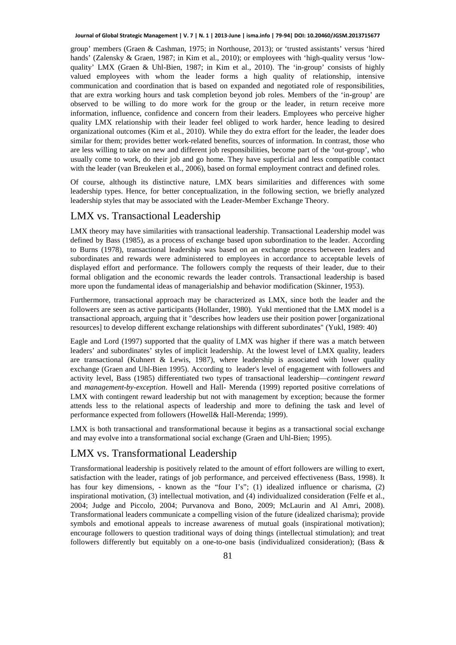group' members (Graen & Cashman, 1975; in Northouse, 2013); or 'trusted assistants' versus 'hired hands' (Zalensky & Graen, 1987; in Kim et al., 2010); or employees with 'high-quality versus 'lowquality' LMX (Graen & Uhl-Bien, 1987; in Kim et al., 2010). The 'in-group' consists of highly valued employees with whom the leader forms a high quality of relationship, intensive communication and coordination that is based on expanded and negotiated role of responsibilities, that are extra working hours and task completion beyond job roles. Members of the 'in-group' are observed to be willing to do more work for the group or the leader, in return receive more information, influence, confidence and concern from their leaders. Employees who perceive higher quality LMX relationship with their leader feel obliged to work harder, hence leading to desired organizational outcomes (Kim et al., 2010). While they do extra effort for the leader, the leader does similar for them; provides better work-related benefits, sources of information. In contrast, those who are less willing to take on new and different job responsibilities, become part of the 'out-group', who usually come to work, do their job and go home. They have superficial and less compatible contact with the leader (van Breukelen et al., 2006), based on formal employment contract and defined roles.

Of course, although its distinctive nature, LMX bears similarities and differences with some leadership types. Hence, for better conceptualization, in the following section, we briefly analyzed leadership styles that may be associated with the Leader-Member Exchange Theory.

### LMX vs. Transactional Leadership

LMX theory may have similarities with transactional leadership. Transactional Leadership model was defined by Bass (1985), as a process of exchange based upon subordination to the leader. According to Burns (1978), transactional leadership was based on an exchange process between leaders and subordinates and rewards were administered to employees in accordance to acceptable levels of displayed effort and performance. The followers comply the requests of their leader, due to their formal obligation and the economic rewards the leader controls. Transactional leadership is based more upon the fundamental ideas of managerialship and behavior modification (Skinner, 1953).

Furthermore, transactional approach may be characterized as LMX, since both the leader and the followers are seen as active participants (Hollander, 1980). Yukl mentioned that the LMX model is a transactional approach, arguing that it "describes how leaders use their position power [organizational resources] to develop different exchange relationships with different subordinates" (Yukl, 1989: 40)

Eagle and Lord (1997) supported that the quality of LMX was higher if there was a match between leaders' and subordinates' styles of implicit leadership. At the lowest level of LMX quality, leaders are transactional (Kuhnert & Lewis, 1987), where leadership is associated with lower quality exchange (Graen and Uhl-Bien 1995). According to leader's level of engagement with followers and activity level, Bass (1985) differentiated two types of transactional leadership—*contingent reward* and *management-by-exception*. Howell and Hall- Merenda (1999) reported positive correlations of LMX with contingent reward leadership but not with management by exception; because the former attends less to the relational aspects of leadership and more to defining the task and level of performance expected from followers (Howell& Hall-Merenda; 1999).

LMX is both transactional and transformational because it begins as a transactional social exchange and may evolve into a transformational social exchange (Graen and Uhl-Bien; 1995).

### LMX vs. Transformational Leadership

Transformational leadership is positively related to the amount of effort followers are willing to exert, satisfaction with the leader, ratings of job performance, and perceived effectiveness (Bass, 1998). It has four key dimensions, - known as the "four I's"; (1) idealized influence or charisma, (2) inspirational motivation, (3) intellectual motivation, and (4) individualized consideration (Felfe et al., 2004; Judge and Piccolo, 2004; Purvanova and Bono, 2009; McLaurin and Al Amri, 2008). Transformational leaders communicate a compelling vision of the future (idealized charisma); provide symbols and emotional appeals to increase awareness of mutual goals (inspirational motivation); encourage followers to question traditional ways of doing things (intellectual stimulation); and treat followers differently but equitably on a one-to-one basis (individualized consideration); (Bass &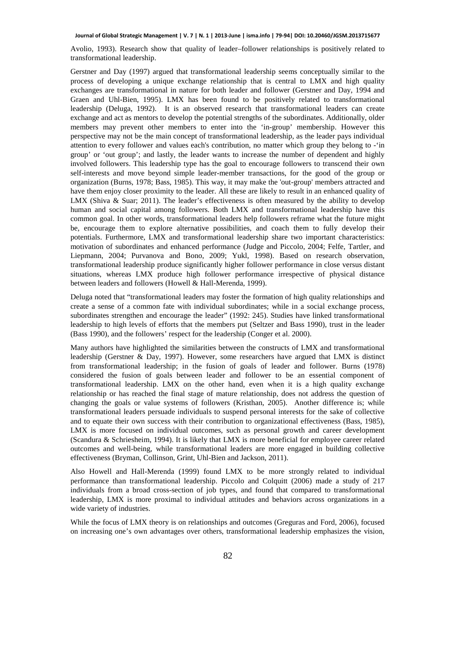Avolio, 1993). Research show that quality of leader–follower relationships is positively related to transformational leadership.

Gerstner and Day (1997) argued that transformational leadership seems conceptually similar to the process of developing a unique exchange relationship that is central to LMX and high quality exchanges are transformational in nature for both leader and follower (Gerstner and Day, 1994 and Graen and Uhl-Bien, 1995). LMX has been found to be positively related to transformational leadership (Deluga, 1992). It is an observed research that transformational leaders can create exchange and act as mentors to develop the potential strengths of the subordinates. Additionally, older members may prevent other members to enter into the 'in-group' membership. However this perspective may not be the main concept of transformational leadership, as the leader pays individual attention to every follower and values each's contribution, no matter which group they belong to -'in group' or 'out group'; and lastly, the leader wants to increase the number of dependent and highly involved followers. This leadership type has the goal to encourage followers to transcend their own self-interests and move beyond simple leader-member transactions, for the good of the group or organization (Burns, 1978; Bass, 1985). This way, it may make the 'out-group' members attracted and have them enjoy closer proximity to the leader. All these are likely to result in an enhanced quality of LMX (Shiva & Suar; 2011). The leader's effectiveness is often measured by the ability to develop human and social capital among followers. Both LMX and transformational leadership have this common goal. In other words, transformational leaders help followers reframe what the future might be, encourage them to explore alternative possibilities, and coach them to fully develop their potentials. Furthermore, LMX and transformational leadership share two important characteristics: motivation of subordinates and enhanced performance (Judge and Piccolo, 2004; Felfe, Tartler, and Liepmann, 2004; Purvanova and Bono, 2009; Yukl, 1998). Based on research observation, transformational leadership produce significantly higher follower performance in close versus distant situations, whereas LMX produce high follower performance irrespective of physical distance between leaders and followers (Howell & Hall-Merenda, 1999).

Deluga noted that "transformational leaders may foster the formation of high quality relationships and create a sense of a common fate with individual subordinates; while in a social exchange process, subordinates strengthen and encourage the leader" (1992: 245). Studies have linked transformational leadership to high levels of efforts that the members put (Seltzer and Bass 1990), trust in the leader (Bass 1990), and the followers' respect for the leadership (Conger et al. 2000).

Many authors have highlighted the similarities between the constructs of LMX and transformational leadership (Gerstner & Day, 1997). However, some researchers have argued that LMX is distinct from transformational leadership; in the fusion of goals of leader and follower. Burns (1978) considered the fusion of goals between leader and follower to be an essential component of transformational leadership. LMX on the other hand, even when it is a high quality exchange relationship or has reached the final stage of mature relationship, does not address the question of changing the goals or value systems of followers (Kristhan, 2005). Another difference is; while transformational leaders persuade individuals to suspend personal interests for the sake of collective and to equate their own success with their contribution to organizational effectiveness (Bass, 1985), LMX is more focused on individual outcomes, such as personal growth and career development (Scandura & Schriesheim, 1994). It is likely that LMX is more beneficial for employee career related outcomes and well-being, while transformational leaders are more engaged in building collective effectiveness (Bryman, Collinson, Grint, Uhl-Bien and Jackson, 2011).

Also Howell and Hall-Merenda (1999) found LMX to be more strongly related to individual performance than transformational leadership. Piccolo and Colquitt (2006) made a study of 217 individuals from a broad cross-section of job types, and found that compared to transformational leadership, LMX is more proximal to individual attitudes and behaviors across organizations in a wide variety of industries.

While the focus of LMX theory is on relationships and outcomes (Greguras and Ford, 2006), focused on increasing one's own advantages over others, transformational leadership emphasizes the vision,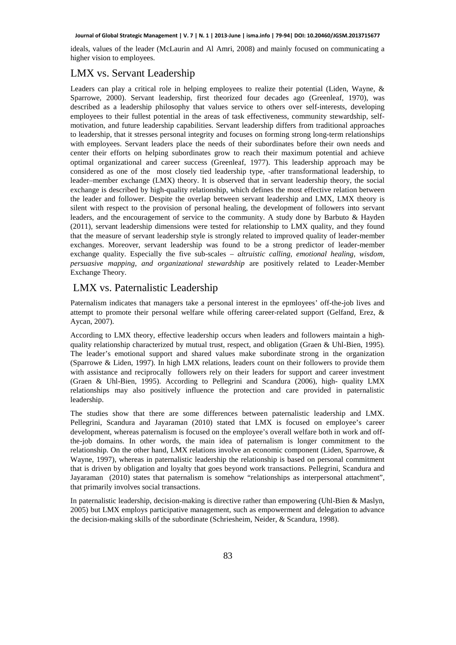ideals, values of the leader (McLaurin and Al Amri, 2008) and mainly focused on communicating a higher vision to employees.

### LMX vs. Servant Leadership

Leaders can play a critical role in helping employees to realize their potential (Liden, Wayne, & Sparrowe, 2000). Servant leadership, first theorized four decades ago (Greenleaf, 1970), was described as a leadership philosophy that values service to others over self-interests, developing employees to their fullest potential in the areas of task effectiveness, community stewardship, selfmotivation, and future leadership capabilities. Servant leadership differs from traditional approaches to leadership, that it stresses personal integrity and focuses on forming strong long-term relationships with employees. Servant leaders place the needs of their subordinates before their own needs and center their efforts on helping subordinates grow to reach their maximum potential and achieve optimal organizational and career success (Greenleaf, 1977). This leadership approach may be considered as one of the most closely tied leadership type, -after transformational leadership, to leader–member exchange (LMX) theory. It is observed that in servant leadership theory, the social exchange is described by high-quality relationship, which defines the most effective relation between the leader and follower. Despite the overlap between servant leadership and LMX, LMX theory is silent with respect to the provision of personal healing, the development of followers into servant leaders, and the encouragement of service to the community. A study done by Barbuto & Hayden (2011), servant leadership dimensions were tested for relationship to LMX quality, and they found that the measure of servant leadership style is strongly related to improved quality of leader-member exchanges. Moreover, servant leadership was found to be a strong predictor of leader-member exchange quality. Especially the five sub-scales – *altruistic calling, emotional healing, wisdom, persuasive mapping, and organizational stewardship* are positively related to Leader-Member Exchange Theory.

### LMX vs. Paternalistic Leadership

Paternalism indicates that managers take a personal interest in the epmloyees' off-the-job lives and attempt to promote their personal welfare while offering career-related support (Gelfand, Erez, & Aycan, 2007).

According to LMX theory, effective leadership occurs when leaders and followers maintain a highquality relationship characterized by mutual trust, respect, and obligation (Graen & Uhl-Bien, 1995). The leader's emotional support and shared values make subordinate strong in the organization (Sparrowe & Liden, 1997). In high LMX relations, leaders count on their followers to provide them with assistance and reciprocally followers rely on their leaders for support and career investment (Graen & Uhl-Bien, 1995). According to Pellegrini and Scandura (2006), high- quality LMX relationships may also positively influence the protection and care provided in paternalistic leadership.

The studies show that there are some differences between paternalistic leadership and LMX. Pellegrini, Scandura and Jayaraman (2010) stated that LMX is focused on employee's career development, whereas paternalism is focused on the employee's overall welfare both in work and offthe-job domains. In other words, the main idea of paternalism is longer commitment to the relationship. On the other hand, LMX relations involve an economic component (Liden, Sparrowe, & Wayne, 1997), whereas in paternalistic leadership the relationship is based on personal commitment that is driven by obligation and loyalty that goes beyond work transactions. Pellegrini, Scandura and Jayaraman (2010) states that paternalism is somehow "relationships as interpersonal attachment", that primarily involves social transactions.

In paternalistic leadership, decision-making is directive rather than empowering (Uhl-Bien & Maslyn, 2005) but LMX employs participative management, such as empowerment and delegation to advance the decision-making skills of the subordinate (Schriesheim, Neider, & Scandura, 1998).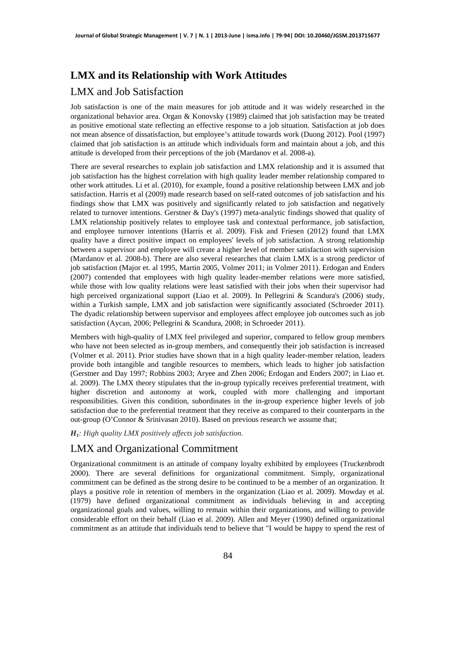## **LMX and its Relationship with Work Attitudes**

### LMX and Job Satisfaction

Job satisfaction is one of the main measures for job attitude and it was widely researched in the organizational behavior area. Organ & Konovsky (1989) claimed that job satisfaction may be treated as positive emotional state reflecting an effective response to a job situation. Satisfaction at job does not mean absence of dissatisfaction, but employee's attitude towards work (Duong 2012). Pool (1997) claimed that job satisfaction is an attitude which individuals form and maintain about a job, and this attitude is developed from their perceptions of the job (Mardanov et al. 2008-a).

There are several researches to explain job satisfaction and LMX relationship and it is assumed that job satisfaction has the highest correlation with high quality leader member relationship compared to other work attitudes. Li et al. (2010), for example, found a positive relationship between LMX and job satisfaction. Harris et al (2009) made research based on self-rated outcomes of job satisfaction and his findings show that LMX was positively and significantly related to job satisfaction and negatively related to turnover intentions. Gerstner & Day's (1997) meta-analytic findings showed that quality of LMX relationship positively relates to employee task and contextual performance, job satisfaction, and employee turnover intentions (Harris et al. 2009). Fisk and Friesen (2012) found that LMX quality have a direct positive impact on employees' levels of job satisfaction. A strong relationship between a supervisor and employee will create a higher level of member satisfaction with supervision (Mardanov et al. 2008-b). There are also several researches that claim LMX is a strong predictor of job satisfaction (Major et. al 1995, Martin 2005, Volmer 2011; in Volmer 2011). Erdogan and Enders (2007) contended that employees with high quality leader-member relations were more satisfied, while those with low quality relations were least satisfied with their jobs when their supervisor had high perceived organizational support (Liao et al. 2009). In Pellegrini & Scandura's (2006) study, within a Turkish sample, LMX and job satisfaction were significantly associated (Schroeder 2011). The dyadic relationship between supervisor and employees affect employee job outcomes such as job satisfaction (Aycan, 2006; Pellegrini & Scandura, 2008; in Schroeder 2011).

Members with high-quality of LMX feel privileged and superior, compared to fellow group members who have not been selected as in-group members, and consequently their job satisfaction is increased (Volmer et al. 2011). Prior studies have shown that in a high quality leader-member relation, leaders provide both intangible and tangible resources to members, which leads to higher job satisfaction (Gerstner and Day 1997; Robbins 2003; Aryee and Zhen 2006; Erdogan and Enders 2007; in Liao et. al. 2009). The LMX theory stipulates that the in-group typically receives preferential treatment, with higher discretion and autonomy at work, coupled with more challenging and important responsibilities. Given this condition, subordinates in the in-group experience higher levels of job satisfaction due to the preferential treatment that they receive as compared to their counterparts in the out-group (O'Connor & Srinivasan 2010). Based on previous research we assume that;

*H1: High quality LMX positively affects job satisfaction.* 

### LMX and Organizational Commitment

Organizational commitment is an attitude of company loyalty exhibited by employees (Truckenbrodt 2000). There are several definitions for organizational commitment. Simply, organizational commitment can be defined as the strong desire to be continued to be a member of an organization. It plays a positive role in retention of members in the organization (Liao et al. 2009). Mowday et al. (1979) have defined organizational commitment as individuals believing in and accepting organizational goals and values, willing to remain within their organizations, and willing to provide considerable effort on their behalf (Liao et al. 2009). Allen and Meyer (1990) defined organizational commitment as an attitude that individuals tend to believe that "I would be happy to spend the rest of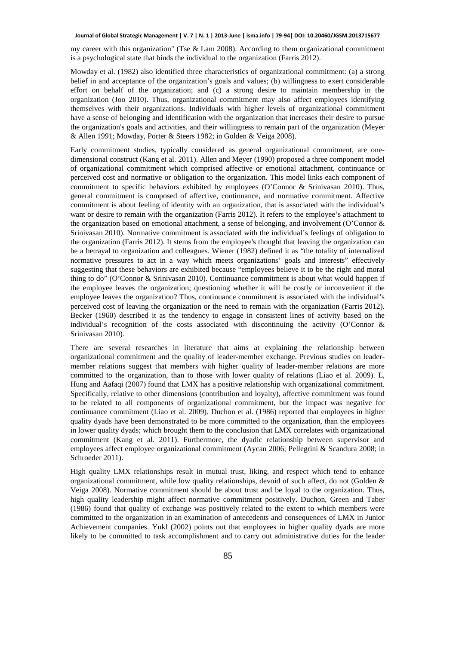my career with this organization" (Tse & Lam 2008). According to them organizational commitment is a psychological state that binds the individual to the organization (Farris 2012).

Mowday et al. (1982) also identified three characteristics of organizational commitment: (a) a strong belief in and acceptance of the organization's goals and values; (b) willingness to exert considerable effort on behalf of the organization; and (c) a strong desire to maintain membership in the organization (Joo 2010). Thus, organizational commitment may also affect employees identifying themselves with their organizations. Individuals with higher levels of organizational commitment have a sense of belonging and identification with the organization that increases their desire to pursue the organization's goals and activities, and their willingness to remain part of the organization (Meyer & Allen 1991; Mowday, Porter & Steers 1982; in Golden & Veiga 2008).

Early commitment studies, typically considered as general organizational commitment, are onedimensional construct (Kang et al. 2011). Allen and Meyer (1990) proposed a three component model of organizational commitment which comprised affective or emotional attachment, continuance or perceived cost and normative or obligation to the organization. This model links each component of commitment to specific behaviors exhibited by employees (O'Connor & Srinivasan 2010). Thus, general commitment is composed of affective, continuance, and normative commitment. Affective commitment is about feeling of identity with an organization, that is associated with the individual's want or desire to remain with the organization (Farris 2012). It refers to the employee's attachment to the organization based on emotional attachment, a sense of belonging, and involvement (O'Connor & Srinivasan 2010). Normative commitment is associated with the individual's feelings of obligation to the organization (Farris 2012). It stems from the employee's thought that leaving the organization can be a betrayal to organization and colleagues. Wiener (1982) defined it as "the totality of internalized normative pressures to act in a way which meets organizations' goals and interests" effectively suggesting that these behaviors are exhibited because "employees believe it to be the right and moral thing to do" (O'Connor & Srinivasan 2010). Continuance commitment is about what would happen if the employee leaves the organization; questioning whether it will be costly or inconvenient if the employee leaves the organization? Thus, continuance commitment is associated with the individual's perceived cost of leaving the organization or the need to remain with the organization (Farris 2012). Becker (1960) described it as the tendency to engage in consistent lines of activity based on the individual's recognition of the costs associated with discontinuing the activity (O'Connor  $\&$ Srinivasan 2010).

There are several researches in literature that aims at explaining the relationship between organizational commitment and the quality of leader-member exchange. Previous studies on leadermember relations suggest that members with higher quality of leader-member relations are more committed to the organization, than to those with lower quality of relations (Liao et al. 2009). L, Hung and Aafaqi (2007) found that LMX has a positive relationship with organizational commitment. Specifically, relative to other dimensions (contribution and loyalty), affective commitment was found to be related to all components of organizational commitment, but the impact was negative for continuance commitment (Liao et al. 2009). Duchon et al. (1986) reported that employees in higher quality dyads have been demonstrated to be more committed to the organization, than the employees in lower quality dyads; which brought them to the conclusion that LMX correlates with organizational commitment (Kang et al. 2011). Furthermore, the dyadic relationship between supervisor and employees affect employee organizational commitment (Aycan 2006; Pellegrini & Scandura 2008; in Schroeder 2011).

High quality LMX relationships result in mutual trust, liking, and respect which tend to enhance organizational commitment, while low quality relationships, devoid of such affect, do not (Golden & Veiga 2008). Normative commitment should be about trust and be loyal to the organization. Thus, high quality leadership might affect normative commitment positively. Duchon, Green and Taber (1986) found that quality of exchange was positively related to the extent to which members were committed to the organization in an examination of antecedents and consequences of LMX in Junior Achievement companies. Yukl (2002) points out that employees in higher quality dyads are more likely to be committed to task accomplishment and to carry out administrative duties for the leader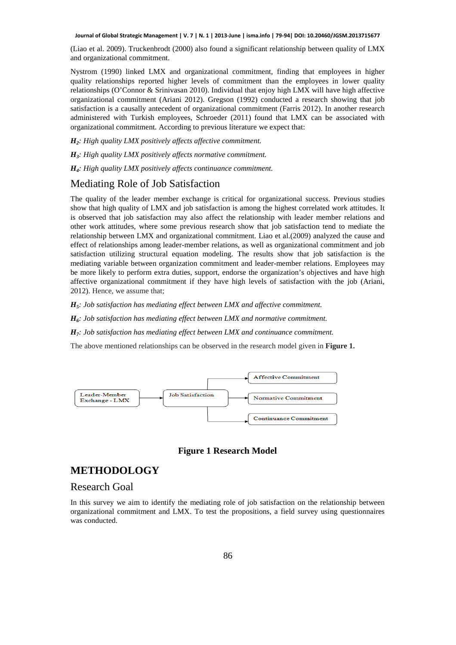(Liao et al. 2009). Truckenbrodt (2000) also found a significant relationship between quality of LMX and organizational commitment.

Nystrom (1990) linked LMX and organizational commitment, finding that employees in higher quality relationships reported higher levels of commitment than the employees in lower quality relationships (O'Connor & Srinivasan 2010). Individual that enjoy high LMX will have high affective organizational commitment (Ariani 2012). Gregson (1992) conducted a research showing that job satisfaction is a causally antecedent of organizational commitment (Farris 2012). In another research administered with Turkish employees, Schroeder (2011) found that LMX can be associated with organizational commitment. According to previous literature we expect that:

*H2: High quality LMX positively affects affective commitment.* 

*H3: High quality LMX positively affects normative commitment.* 

*H4: High quality LMX positively affects continuance commitment.* 

## Mediating Role of Job Satisfaction

The quality of the leader member exchange is critical for organizational success. Previous studies show that high quality of LMX and job satisfaction is among the highest correlated work attitudes. It is observed that job satisfaction may also affect the relationship with leader member relations and other work attitudes, where some previous research show that job satisfaction tend to mediate the relationship between LMX and organizational commitment. Liao et al.(2009) analyzed the cause and effect of relationships among leader-member relations, as well as organizational commitment and job satisfaction utilizing structural equation modeling. The results show that job satisfaction is the mediating variable between organization commitment and leader-member relations. Employees may be more likely to perform extra duties, support, endorse the organization's objectives and have high affective organizational commitment if they have high levels of satisfaction with the job (Ariani, 2012). Hence, we assume that;

*H5: Job satisfaction has mediating effect between LMX and affective commitment.* 

*H6: Job satisfaction has mediating effect between LMX and normative commitment.* 

*H7: Job satisfaction has mediating effect between LMX and continuance commitment.*

The above mentioned relationships can be observed in the research model given in **Figure 1.** 



#### **Figure 1 Research Model**

### **METHODOLOGY**

#### Research Goal

In this survey we aim to identify the mediating role of job satisfaction on the relationship between organizational commitment and LMX. To test the propositions, a field survey using questionnaires was conducted.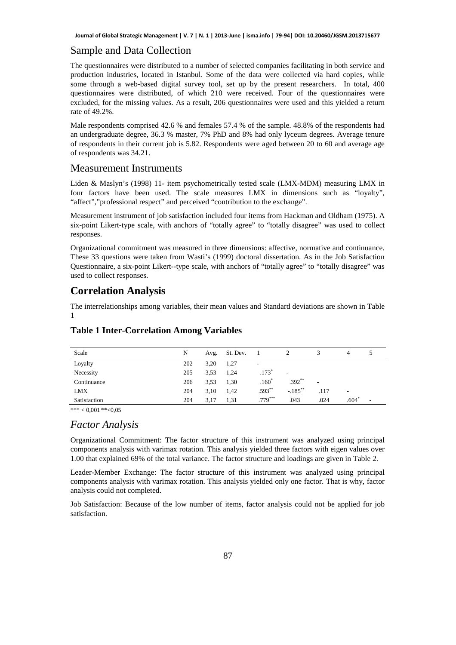#### Sample and Data Collection

The questionnaires were distributed to a number of selected companies facilitating in both service and production industries, located in Istanbul. Some of the data were collected via hard copies, while some through a web-based digital survey tool, set up by the present researchers. In total, 400 questionnaires were distributed, of which 210 were received. Four of the questionnaires were excluded, for the missing values. As a result, 206 questionnaires were used and this yielded a return rate of 49.2%.

Male respondents comprised 42.6 % and females 57.4 % of the sample. 48.8% of the respondents had an undergraduate degree, 36.3 % master, 7% PhD and 8% had only lyceum degrees. Average tenure of respondents in their current job is 5.82. Respondents were aged between 20 to 60 and average age of respondents was 34.21.

### Measurement Instruments

Liden & Maslyn's (1998) 11- item psychometrically tested scale (LMX-MDM) measuring LMX in four factors have been used. The scale measures LMX in dimensions such as "loyalty", "affect","professional respect" and perceived "contribution to the exchange".

Measurement instrument of job satisfaction included four items from Hackman and Oldham (1975). A six-point Likert-type scale, with anchors of "totally agree" to "totally disagree" was used to collect responses.

Organizational commitment was measured in three dimensions: affective, normative and continuance. These 33 questions were taken from Wasti's (1999) doctoral dissertation. As in the Job Satisfaction Questionnaire, a six-point Likert--type scale, with anchors of "totally agree" to "totally disagree" was used to collect responses.

### **Correlation Analysis**

The interrelationships among variables, their mean values and Standard deviations are shown in Table 1

### **Table 1 Inter-Correlation Among Variables**

| Scale        | N   | Avg. | St. Dev. |                          |                          |      | 4                        |   |
|--------------|-----|------|----------|--------------------------|--------------------------|------|--------------------------|---|
| Loyalty      | 202 | 3,20 | 1,27     | $\overline{\phantom{a}}$ |                          |      |                          |   |
| Necessity    | 205 | 3.53 | 1,24     | $.173*$                  | $\overline{\phantom{a}}$ |      |                          |   |
| Continuance  | 206 | 3.53 | 1,30     | $.160*$                  | $.392**$                 | ٠    |                          |   |
| <b>LMX</b>   | 204 | 3.10 | 1,42     | $.593**$                 | $-.185***$               | .117 | $\overline{\phantom{a}}$ |   |
| Satisfaction | 204 | 3,17 | 1,31     | $.779***$                | .043                     | .024 | .604                     | ۰ |

\*\*\*  $< 0.001$ \*\*<0.05

#### *Factor Analysis*

Organizational Commitment: The factor structure of this instrument was analyzed using principal components analysis with varimax rotation. This analysis yielded three factors with eigen values over 1.00 that explained 69% of the total variance. The factor structure and loadings are given in Table 2.

Leader-Member Exchange: The factor structure of this instrument was analyzed using principal components analysis with varimax rotation. This analysis yielded only one factor. That is why, factor analysis could not completed.

Job Satisfaction: Because of the low number of items, factor analysis could not be applied for job satisfaction.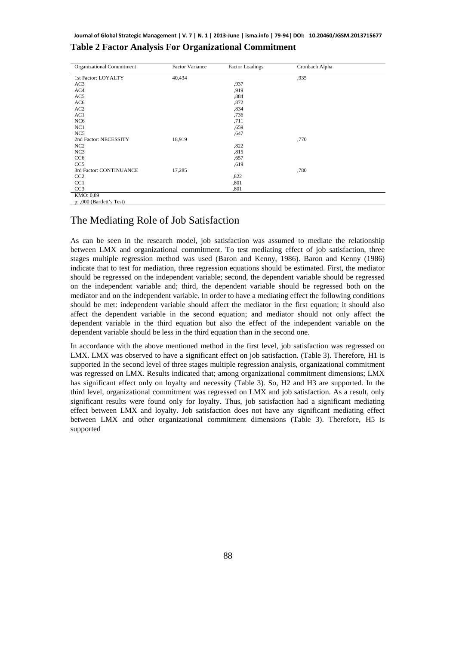#### Organizational Commitment Factor Variance Factor Loadings Cronbach Alpha 1st Factor: LOYALTY AC3 AC4 AC5 AC6 AC2 AC1 NC6 NC1 NC5 40,434 ,937 ,919 ,884 ,872 ,834 ,736 ,711 ,659 ,647 ,935

**Table 2 Factor Analysis For Organizational Commitment** 

| Organizational Communicin | Pación Valiance | Pactor Loadings | Cromoach Alpha |
|---------------------------|-----------------|-----------------|----------------|
| 1st Factor: LOYALTY       | 40,434          |                 | ,935           |
| AC3                       |                 | ,937            |                |
| AC4                       |                 | ,919            |                |
| AC <sub>5</sub>           |                 | ,884            |                |
| AC6                       |                 | ,872            |                |
| AC <sub>2</sub>           |                 | ,834            |                |
| AC1                       |                 | ,736            |                |
| NC <sub>6</sub>           |                 | ,711            |                |
| NC1                       |                 | ,659            |                |
| NC <sub>5</sub>           |                 | ,647            |                |
| 2nd Factor: NECESSITY     | 18,919          |                 | ,770           |
| NC2                       |                 | ,822            |                |
| NC <sub>3</sub>           |                 | ,815            |                |
| CC <sub>6</sub>           |                 | ,657            |                |
| CC <sub>5</sub>           |                 | ,619            |                |
| 3rd Factor: CONTINUANCE   | 17,285          |                 | .780           |
| CC2                       |                 | ,822            |                |
| CC1                       |                 | ,801            |                |
| CC <sub>3</sub>           |                 | ,801            |                |
| KMO: 0,89                 |                 |                 |                |
| p: ,000 (Bartlett's Test) |                 |                 |                |

### The Mediating Role of Job Satisfaction

As can be seen in the research model, job satisfaction was assumed to mediate the relationship between LMX and organizational commitment. To test mediating effect of job satisfaction, three stages multiple regression method was used (Baron and Kenny, 1986). Baron and Kenny (1986) indicate that to test for mediation, three regression equations should be estimated. First, the mediator should be regressed on the independent variable; second, the dependent variable should be regressed on the independent variable and; third, the dependent variable should be regressed both on the mediator and on the independent variable. In order to have a mediating effect the following conditions should be met: independent variable should affect the mediator in the first equation; it should also affect the dependent variable in the second equation; and mediator should not only affect the dependent variable in the third equation but also the effect of the independent variable on the dependent variable should be less in the third equation than in the second one.

In accordance with the above mentioned method in the first level, job satisfaction was regressed on LMX. LMX was observed to have a significant effect on job satisfaction. (Table 3). Therefore, H1 is supported In the second level of three stages multiple regression analysis, organizational commitment was regressed on LMX. Results indicated that; among organizational commitment dimensions; LMX has significant effect only on loyalty and necessity (Table 3). So, H2 and H3 are supported. In the third level, organizational commitment was regressed on LMX and job satisfaction. As a result, only significant results were found only for loyalty. Thus, job satisfaction had a significant mediating effect between LMX and loyalty. Job satisfaction does not have any significant mediating effect between LMX and other organizational commitment dimensions (Table 3). Therefore, H5 is supported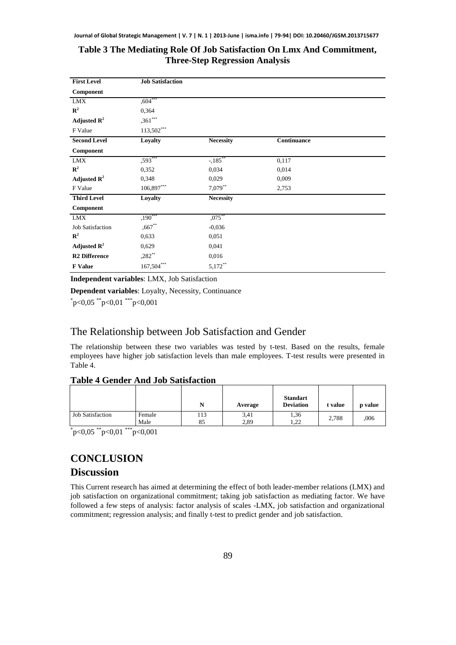### **Table 3 The Mediating Role Of Job Satisfaction On Lmx And Commitment, Three-Step Regression Analysis**

| <b>First Level</b>      | <b>Job Satisfaction</b> |                  |             |
|-------------------------|-------------------------|------------------|-------------|
| Component               |                         |                  |             |
| ${\rm LMX}$             | $,604***$               |                  |             |
| $\mathbb{R}^2$          | 0,364                   |                  |             |
| Adjusted $\mathbb{R}^2$ | $,361***$               |                  |             |
| F Value                 | $113,502***$            |                  |             |
| <b>Second Level</b>     | Loyalty                 | <b>Necessity</b> | Continuance |
| Component               |                         |                  |             |
| <b>LMX</b>              | $,593***$               | $-185^{**}$      | 0,117       |
| ${\bf R}^2$             | 0,352                   | 0.034            | 0,014       |
| Adjusted $\mathbb{R}^2$ | 0,348                   | 0,029            | 0,009       |
| F Value                 | 106,897***              | $7,079**$        | 2,753       |
| <b>Third Level</b>      | Loyalty                 | <b>Necessity</b> |             |
| Component               |                         |                  |             |
| <b>LMX</b>              | $,190***$               | $,075$ **        |             |
| <b>Job Satisfaction</b> | $,667$ **               | $-0,036$         |             |
| ${\bf R}^2$             | 0,633                   | 0,051            |             |
| Adjusted $\mathbb{R}^2$ | 0,629                   | 0,041            |             |
| <b>R2</b> Difference    | $,282^{**}$             | 0,016            |             |
| <b>F</b> Value          | $167,504***$            | $5,172***$       |             |

**Independent variables**: LMX, Job Satisfaction

**Dependent variables**: Loyalty, Necessity, Continuance

 $p<0.05$  \*\*p<0.01 \*\*\*p<0.001

# The Relationship between Job Satisfaction and Gender

The relationship between these two variables was tested by t-test. Based on the results, female employees have higher job satisfaction levels than male employees. T-test results were presented in Table 4.

#### **Table 4 Gender And Job Satisfaction**

|                         |                | N        | Average      | <b>Standart</b><br><b>Deviation</b> | t value | p value |
|-------------------------|----------------|----------|--------------|-------------------------------------|---------|---------|
| <b>Job Satisfaction</b> | Female<br>Male | 13<br>85 | 3,41<br>2.89 | 1,36<br>1.22                        | 2,788   | ,006    |

 $p<0.05$  \*\*p<0.01 \*\*\*p<0.001

# **CONCLUSION**

## **Discussion**

This Current research has aimed at determining the effect of both leader-member relations (LMX) and job satisfaction on organizational commitment; taking job satisfaction as mediating factor. We have followed a few steps of analysis: factor analysis of scales -LMX, job satisfaction and organizational commitment; regression analysis; and finally t-test to predict gender and job satisfaction.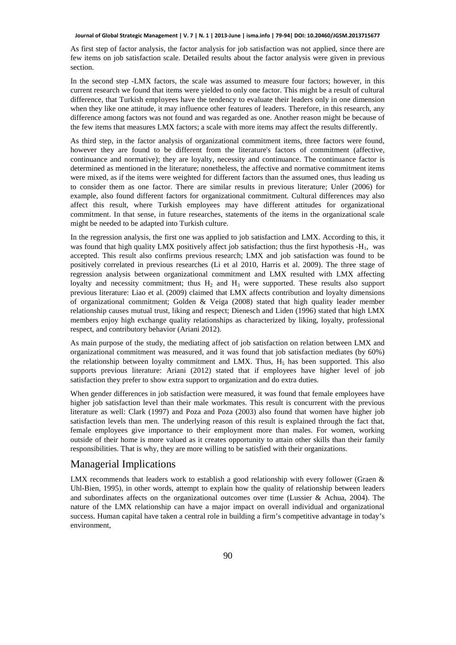As first step of factor analysis, the factor analysis for job satisfaction was not applied, since there are few items on job satisfaction scale. Detailed results about the factor analysis were given in previous section.

In the second step -LMX factors, the scale was assumed to measure four factors; however, in this current research we found that items were yielded to only one factor. This might be a result of cultural difference, that Turkish employees have the tendency to evaluate their leaders only in one dimension when they like one attitude, it may influence other features of leaders. Therefore, in this research, any difference among factors was not found and was regarded as one. Another reason might be because of the few items that measures LMX factors; a scale with more items may affect the results differently.

As third step, in the factor analysis of organizational commitment items, three factors were found, however they are found to be different from the literature's factors of commitment (affective, continuance and normative); they are loyalty, necessity and continuance. The continuance factor is determined as mentioned in the literature; nonetheless, the affective and normative commitment items were mixed, as if the items were weighted for different factors than the assumed ones, thus leading us to consider them as one factor. There are similar results in previous literature; Unler (2006) for example, also found different factors for organizational commitment. Cultural differences may also affect this result, where Turkish employees may have different attitudes for organizational commitment. In that sense, in future researches, statements of the items in the organizational scale might be needed to be adapted into Turkish culture.

In the regression analysis, the first one was applied to job satisfaction and LMX. According to this, it was found that high quality LMX positively affect job satisfaction; thus the first hypothesis -H<sub>1</sub>, was accepted. This result also confirms previous research; LMX and job satisfaction was found to be positively correlated in previous researches (Li et al 2010, Harris et al. 2009). The three stage of regression analysis between organizational commitment and LMX resulted with LMX affecting loyalty and necessity commitment; thus  $H_2$  and  $H_3$  were supported. These results also support previous literature: Liao et al. (2009) claimed that LMX affects contribution and loyalty dimensions of organizational commitment; Golden & Veiga (2008) stated that high quality leader member relationship causes mutual trust, liking and respect; Dienesch and Liden (1996) stated that high LMX members enjoy high exchange quality relationships as characterized by liking, loyalty, professional respect, and contributory behavior (Ariani 2012).

As main purpose of the study, the mediating affect of job satisfaction on relation between LMX and organizational commitment was measured, and it was found that job satisfaction mediates (by 60%) the relationship between loyalty commitment and LMX. Thus, H<sub>5</sub> has been supported. This also supports previous literature: Ariani (2012) stated that if employees have higher level of job satisfaction they prefer to show extra support to organization and do extra duties.

When gender differences in job satisfaction were measured, it was found that female employees have higher job satisfaction level than their male workmates. This result is concurrent with the previous literature as well: Clark (1997) and Poza and Poza (2003) also found that women have higher job satisfaction levels than men. The underlying reason of this result is explained through the fact that, female employees give importance to their employment more than males. For women, working outside of their home is more valued as it creates opportunity to attain other skills than their family responsibilities. That is why, they are more willing to be satisfied with their organizations.

#### Managerial Implications

LMX recommends that leaders work to establish a good relationship with every follower (Graen  $\&$ Uhl-Bien, 1995), in other words, attempt to explain how the quality of relationship between leaders and subordinates affects on the organizational outcomes over time (Lussier & Achua, 2004). The nature of the LMX relationship can have a major impact on overall individual and organizational success. Human capital have taken a central role in building a firm's competitive advantage in today's environment,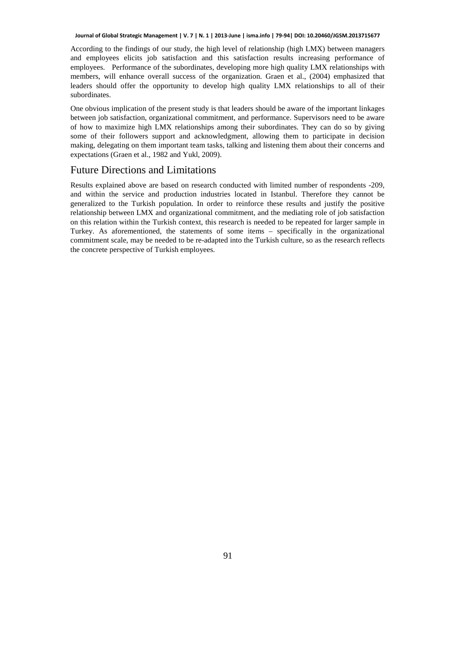According to the findings of our study, the high level of relationship (high LMX) between managers and employees elicits job satisfaction and this satisfaction results increasing performance of employees. Performance of the subordinates, developing more high quality LMX relationships with members, will enhance overall success of the organization. Graen et al., (2004) emphasized that leaders should offer the opportunity to develop high quality LMX relationships to all of their subordinates.

One obvious implication of the present study is that leaders should be aware of the important linkages between job satisfaction, organizational commitment, and performance. Supervisors need to be aware of how to maximize high LMX relationships among their subordinates. They can do so by giving some of their followers support and acknowledgment, allowing them to participate in decision making, delegating on them important team tasks, talking and listening them about their concerns and expectations (Graen et al., 1982 and Yukl, 2009).

### Future Directions and Limitations

Results explained above are based on research conducted with limited number of respondents -209, and within the service and production industries located in Istanbul. Therefore they cannot be generalized to the Turkish population. In order to reinforce these results and justify the positive relationship between LMX and organizational commitment, and the mediating role of job satisfaction on this relation within the Turkish context, this research is needed to be repeated for larger sample in Turkey. As aforementioned, the statements of some items – specifically in the organizational commitment scale, may be needed to be re-adapted into the Turkish culture, so as the research reflects the concrete perspective of Turkish employees.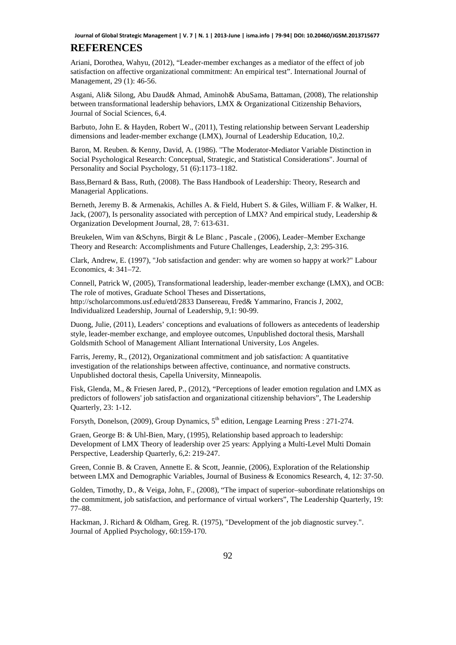### **REFERENCES**

Ariani, Dorothea, Wahyu, (2012), "Leader-member exchanges as a mediator of the effect of job satisfaction on affective organizational commitment: An empirical test". International Journal of Management, 29 (1): 46-56.

Asgani, Ali& Silong, Abu Daud& Ahmad, Aminoh& AbuSama, Battaman, (2008), The relationship between transformational leadership behaviors, LMX & Organizational Citizenship Behaviors, Journal of Social Sciences, 6,4.

Barbuto, John E. & Hayden, Robert W., (2011), Testing relationship between Servant Leadership dimensions and leader-member exchange (LMX), Journal of Leadership Education, 10,2.

Baron, M. Reuben. & Kenny, David, A. (1986). "The Moderator-Mediator Variable Distinction in Social Psychological Research: Conceptual, Strategic, and Statistical Considerations". Journal of Personality and Social Psychology, 51 (6):1173–1182.

Bass,Bernard & Bass, Ruth, (2008). The Bass Handbook of Leadership: Theory, Research and Managerial Applications.

Berneth, Jeremy B. & Armenakis, Achilles A. & Field, Hubert S. & Giles, William F. & Walker, H. Jack, (2007), Is personality associated with perception of LMX? And empirical study, Leadership & Organization Development Journal, 28, 7: 613-631.

Breukelen, Wim van &Schyns, Birgit & Le Blanc , Pascale , (2006), Leader–Member Exchange Theory and Research: Accomplishments and Future Challenges, Leadership, 2,3: 295-316.

Clark, Andrew, E. (1997), "Job satisfaction and gender: why are women so happy at work?" Labour Economics, 4: 341–72.

Connell, Patrick W, (2005), Transformational leadership, leader-member exchange (LMX), and OCB: The role of motives, Graduate School Theses and Dissertations, http://scholarcommons.usf.edu/etd/2833 Dansereau, Fred& Yammarino, Francis J, 2002, Individualized Leadership, Journal of Leadership, 9,1: 90-99.

Duong, Julie, (2011), Leaders' conceptions and evaluations of followers as antecedents of leadership style, leader-member exchange, and employee outcomes, Unpublished doctoral thesis, Marshall Goldsmith School of Management Alliant International University, Los Angeles.

Farris, Jeremy, R., (2012), Organizational commitment and job satisfaction: A quantitative investigation of the relationships between affective, continuance, and normative constructs. Unpublished doctoral thesis, Capella University, Minneapolis.

Fisk, Glenda, M., & Friesen Jared, P., (2012), "Perceptions of leader emotion regulation and LMX as predictors of followers' job satisfaction and organizational citizenship behaviors", The Leadership Quarterly, 23: 1-12.

Forsyth, Donelson, (2009), Group Dynamics, 5<sup>th</sup> edition, Lengage Learning Press : 271-274.

Graen, George B: & Uhl-Bien, Mary, (1995), Relationship based approach to leadership: Development of LMX Theory of leadership over 25 years: Applying a Multi-Level Multi Domain Perspective, Leadership Quarterly, 6,2: 219-247.

Green, Connie B. & Craven, Annette E. & Scott, Jeannie, (2006), Exploration of the Relationship between LMX and Demographic Variables, Journal of Business & Economics Research, 4, 12: 37-50.

Golden, Timothy, D., & Veiga, John, F., (2008), "The impact of superior–subordinate relationships on the commitment, job satisfaction, and performance of virtual workers", The Leadership Quarterly, 19: 77–88.

Hackman, J. Richard & Oldham, Greg. R. (1975), "Development of the job diagnostic survey.". Journal of Applied Psychology, 60:159-170.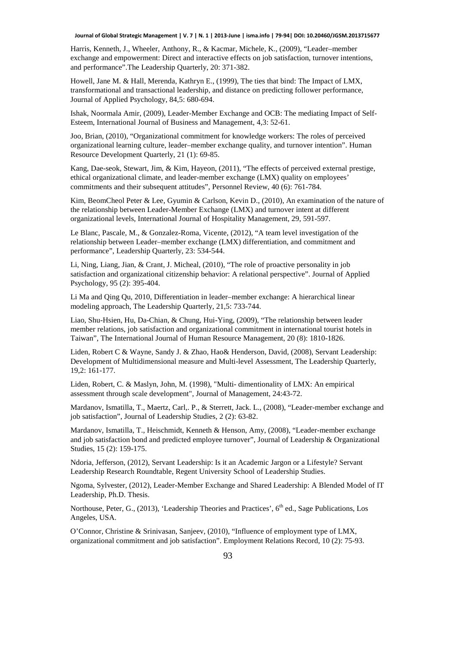Harris, Kenneth, J., Wheeler, Anthony, R., & Kacmar, Michele, K., (2009), "Leader–member exchange and empowerment: Direct and interactive effects on job satisfaction, turnover intentions, and performance".The Leadership Quarterly, 20: 371-382.

Howell, Jane M. & Hall, Merenda, Kathryn E., (1999), The ties that bind: The Impact of LMX, transformational and transactional leadership, and distance on predicting follower performance, Journal of Applied Psychology, 84,5: 680-694.

Ishak, Noormala Amir, (2009), Leader-Member Exchange and OCB: The mediating Impact of Self-Esteem, International Journal of Business and Management, 4,3: 52-61.

Joo, Brian, (2010), "Organizational commitment for knowledge workers: The roles of perceived organizational learning culture, leader–member exchange quality, and turnover intention". Human Resource Development Quarterly, 21 (1): 69-85.

Kang, Dae-seok, Stewart, Jim, & Kim, Hayeon, (2011), "The effects of perceived external prestige, ethical organizational climate, and leader-member exchange (LMX) quality on employees' commitments and their subsequent attitudes", Personnel Review, 40 (6): 761-784.

Kim, BeomCheol Peter & Lee, Gyumin & Carlson, Kevin D., (2010), An examination of the nature of the relationship between Leader-Member Exchange (LMX) and turnover intent at different organizational levels, International Journal of Hospitality Management, 29, 591-597.

Le Blanc, Pascale, M., & Gonzalez-Roma, Vicente, (2012), "A team level investigation of the relationship between Leader–member exchange (LMX) differentiation, and commitment and performance", Leadership Quarterly, 23: 534-544.

Li, Ning, Liang, Jian, & Crant, J. Micheal, (2010), "The role of proactive personality in job satisfaction and organizational citizenship behavior: A relational perspective". Journal of Applied Psychology, 95 (2): 395-404.

Li Ma and Qing Qu, 2010, Differentiation in leader–member exchange: A hierarchical linear modeling approach, The Leadership Quarterly, 21,5: 733-744.

Liao, Shu-Hsien, Hu, Da-Chian, & Chung, Hui-Ying, (2009), "The relationship between leader member relations, job satisfaction and organizational commitment in international tourist hotels in Taiwan", The International Journal of Human Resource Management, 20 (8): 1810-1826.

Liden, Robert C & Wayne, Sandy J. & Zhao, Hao& Henderson, David, (2008), Servant Leadership: Development of Multidimensional measure and Multi-level Assessment, The Leadership Quarterly, 19,2: 161-177.

Liden, Robert, C. & Maslyn, John, M. (1998), "Multi- dimentionality of LMX: An empirical assessment through scale development", Journal of Management, 24:43-72.

Mardanov, Ismatilla, T., Maertz, Carl,. P., & Sterrett, Jack. L., (2008), "Leader-member exchange and job satisfaction", Journal of Leadership Studies, 2 (2): 63-82.

Mardanov, Ismatilla, T., Heischmidt, Kenneth & Henson, Amy, (2008), "Leader-member exchange and job satisfaction bond and predicted employee turnover", Journal of Leadership & Organizational Studies, 15 (2): 159-175.

Ndoria, Jefferson, (2012), Servant Leadership: Is it an Academic Jargon or a Lifestyle? Servant Leadership Research Roundtable, Regent University School of Leadership Studies.

Ngoma, Sylvester, (2012), Leader-Member Exchange and Shared Leadership: A Blended Model of IT Leadership, Ph.D. Thesis.

Northouse, Peter, G., (2013), 'Leadership Theories and Practices',  $6<sup>th</sup>$  ed., Sage Publications, Los Angeles, USA.

O'Connor, Christine & Srinivasan, Sanjeev, (2010), "Influence of employment type of LMX, organizational commitment and job satisfaction". Employment Relations Record, 10 (2): 75-93.